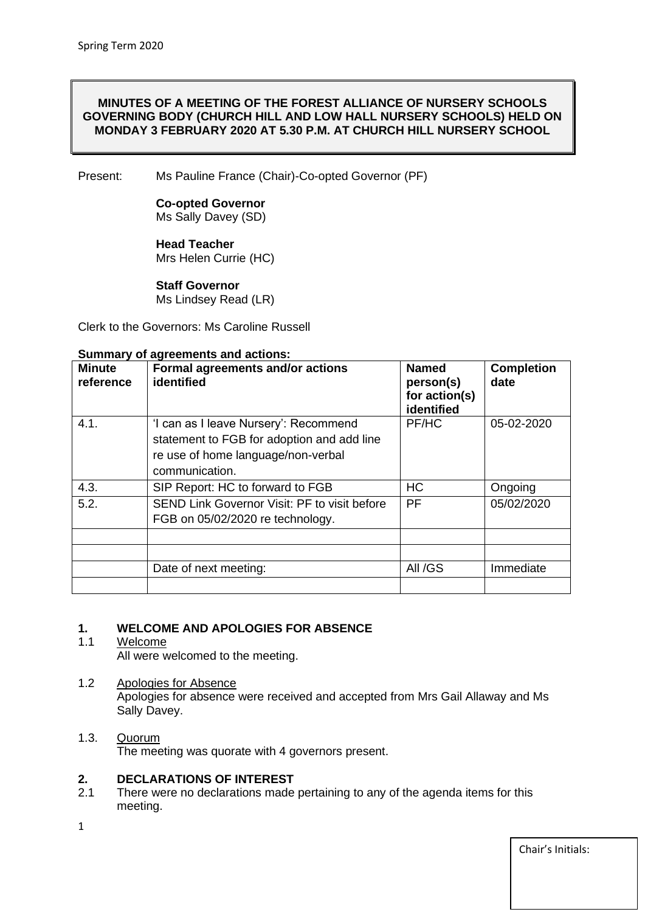#### **MINUTES OF A MEETING OF THE FOREST ALLIANCE OF NURSERY SCHOOLS GOVERNING BODY (CHURCH HILL AND LOW HALL NURSERY SCHOOLS) HELD ON MONDAY 3 FEBRUARY 2020 AT 5.30 P.M. AT CHURCH HILL NURSERY SCHOOL**

Present: Ms Pauline France (Chair)-Co-opted Governor (PF)

#### **Co-opted Governor** Ms Sally Davey (SD)

#### **Head Teacher**  Mrs Helen Currie (HC)

# **Staff Governor**

Ms Lindsey Read (LR)

Clerk to the Governors: Ms Caroline Russell

#### **Summary of agreements and actions:**

| <b>Minute</b><br>reference | Formal agreements and/or actions<br>identified                                                                                              | <b>Named</b><br>person(s)<br>for action(s)<br>identified | <b>Completion</b><br>date |
|----------------------------|---------------------------------------------------------------------------------------------------------------------------------------------|----------------------------------------------------------|---------------------------|
| 4.1.                       | 'I can as I leave Nursery': Recommend<br>statement to FGB for adoption and add line<br>re use of home language/non-verbal<br>communication. | PF/HC                                                    | 05-02-2020                |
| 4.3.                       | SIP Report: HC to forward to FGB                                                                                                            | HC                                                       | Ongoing                   |
| 5.2.                       | SEND Link Governor Visit: PF to visit before<br>FGB on 05/02/2020 re technology.                                                            | <b>PF</b>                                                | 05/02/2020                |
|                            |                                                                                                                                             |                                                          |                           |
|                            |                                                                                                                                             |                                                          |                           |
|                            | Date of next meeting:                                                                                                                       | All /GS                                                  | Immediate                 |
|                            |                                                                                                                                             |                                                          |                           |

#### **1. WELCOME AND APOLOGIES FOR ABSENCE**

#### 1.1 Welcome All were welcomed to the meeting.

# 1.2 Apologies for Absence

Apologies for absence were received and accepted from Mrs Gail Allaway and Ms Sally Davey.

#### 1.3. Quorum The meeting was quorate with 4 governors present.

# **2. DECLARATIONS OF INTEREST**<br>2.1 There were no declarations made

- There were no declarations made pertaining to any of the agenda items for this meeting.
- 1

Chair's Initials: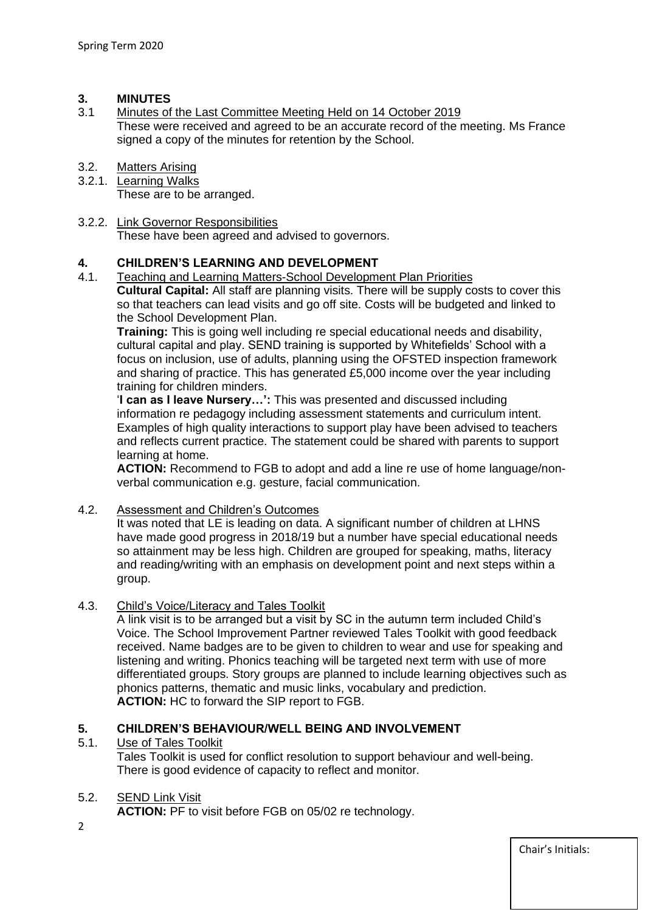#### **3. MINUTES**

- 3.1 Minutes of the Last Committee Meeting Held on 14 October 2019 These were received and agreed to be an accurate record of the meeting. Ms France signed a copy of the minutes for retention by the School.
- 3.2. Matters Arising
- 3.2.1. Learning Walks These are to be arranged.
- 3.2.2. Link Governor Responsibilities These have been agreed and advised to governors.

## **4. CHILDREN'S LEARNING AND DEVELOPMENT**

4.1. Teaching and Learning Matters-School Development Plan Priorities **Cultural Capital:** All staff are planning visits. There will be supply costs to cover this so that teachers can lead visits and go off site. Costs will be budgeted and linked to the School Development Plan.

**Training:** This is going well including re special educational needs and disability, cultural capital and play. SEND training is supported by Whitefields' School with a focus on inclusion, use of adults, planning using the OFSTED inspection framework and sharing of practice. This has generated £5,000 income over the year including training for children minders.

'**I can as I leave Nursery…':** This was presented and discussed including information re pedagogy including assessment statements and curriculum intent. Examples of high quality interactions to support play have been advised to teachers and reflects current practice. The statement could be shared with parents to support learning at home.

**ACTION:** Recommend to FGB to adopt and add a line re use of home language/nonverbal communication e.g. gesture, facial communication.

4.2. Assessment and Children's Outcomes

It was noted that LE is leading on data. A significant number of children at LHNS have made good progress in 2018/19 but a number have special educational needs so attainment may be less high. Children are grouped for speaking, maths, literacy and reading/writing with an emphasis on development point and next steps within a group.

#### 4.3. Child's Voice/Literacy and Tales Toolkit

A link visit is to be arranged but a visit by SC in the autumn term included Child's Voice. The School Improvement Partner reviewed Tales Toolkit with good feedback received. Name badges are to be given to children to wear and use for speaking and listening and writing. Phonics teaching will be targeted next term with use of more differentiated groups. Story groups are planned to include learning objectives such as phonics patterns, thematic and music links, vocabulary and prediction. **ACTION:** HC to forward the SIP report to FGB.

#### **5. CHILDREN'S BEHAVIOUR/WELL BEING AND INVOLVEMENT**

#### 5.1. Use of Tales Toolkit

Tales Toolkit is used for conflict resolution to support behaviour and well-being. There is good evidence of capacity to reflect and monitor.

#### 5.2. SEND Link Visit

**ACTION:** PF to visit before FGB on 05/02 re technology.

2